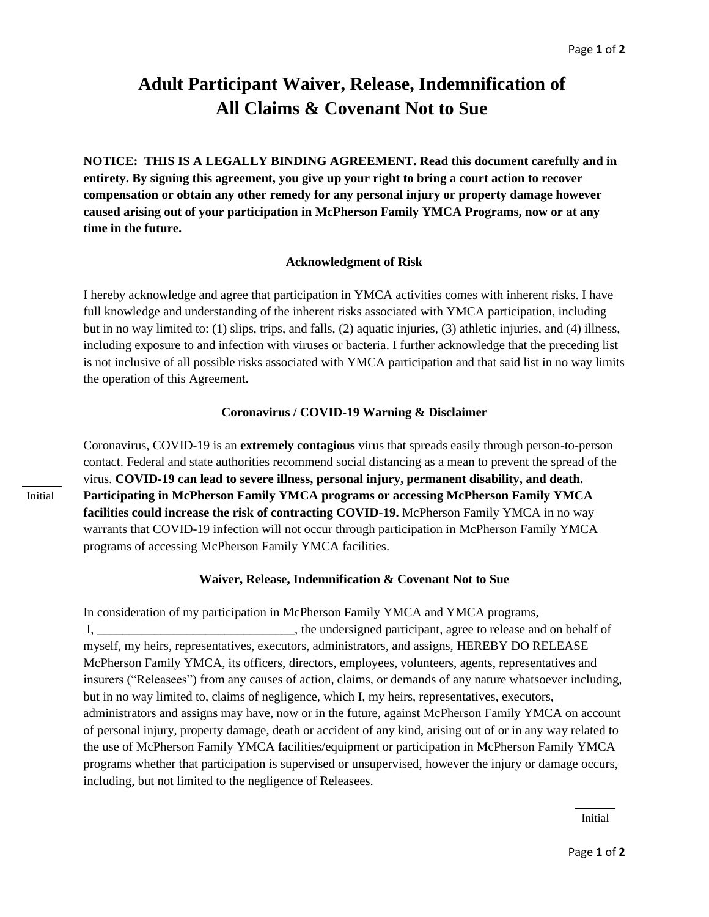## **Adult Participant Waiver, Release, Indemnification of All Claims & Covenant Not to Sue**

**NOTICE: THIS IS A LEGALLY BINDING AGREEMENT. Read this document carefully and in entirety. By signing this agreement, you give up your right to bring a court action to recover compensation or obtain any other remedy for any personal injury or property damage however caused arising out of your participation in McPherson Family YMCA Programs, now or at any time in the future.**

## **Acknowledgment of Risk**

I hereby acknowledge and agree that participation in YMCA activities comes with inherent risks. I have full knowledge and understanding of the inherent risks associated with YMCA participation, including but in no way limited to: (1) slips, trips, and falls, (2) aquatic injuries, (3) athletic injuries, and (4) illness, including exposure to and infection with viruses or bacteria. I further acknowledge that the preceding list is not inclusive of all possible risks associated with YMCA participation and that said list in no way limits the operation of this Agreement.

## **Coronavirus / COVID-19 Warning & Disclaimer**

Coronavirus, COVID-19 is an **extremely contagious** virus that spreads easily through person-to-person contact. Federal and state authorities recommend social distancing as a mean to prevent the spread of the virus. **COVID-19 can lead to severe illness, personal injury, permanent disability, and death. Participating in McPherson Family YMCA programs or accessing McPherson Family YMCA facilities could increase the risk of contracting COVID-19. McPherson Family YMCA in no way** warrants that COVID-19 infection will not occur through participation in McPherson Family YMCA programs of accessing McPherson Family YMCA facilities.

## **Waiver, Release, Indemnification & Covenant Not to Sue**

In consideration of my participation in McPherson Family YMCA and YMCA programs, I, **I** is a constant the undersigned participant, agree to release and on behalf of myself, my heirs, representatives, executors, administrators, and assigns, HEREBY DO RELEASE McPherson Family YMCA, its officers, directors, employees, volunteers, agents, representatives and insurers ("Releasees") from any causes of action, claims, or demands of any nature whatsoever including, but in no way limited to, claims of negligence, which I, my heirs, representatives, executors, administrators and assigns may have, now or in the future, against McPherson Family YMCA on account of personal injury, property damage, death or accident of any kind, arising out of or in any way related to the use of McPherson Family YMCA facilities/equipment or participation in McPherson Family YMCA programs whether that participation is supervised or unsupervised, however the injury or damage occurs, including, but not limited to the negligence of Releasees.

Initial